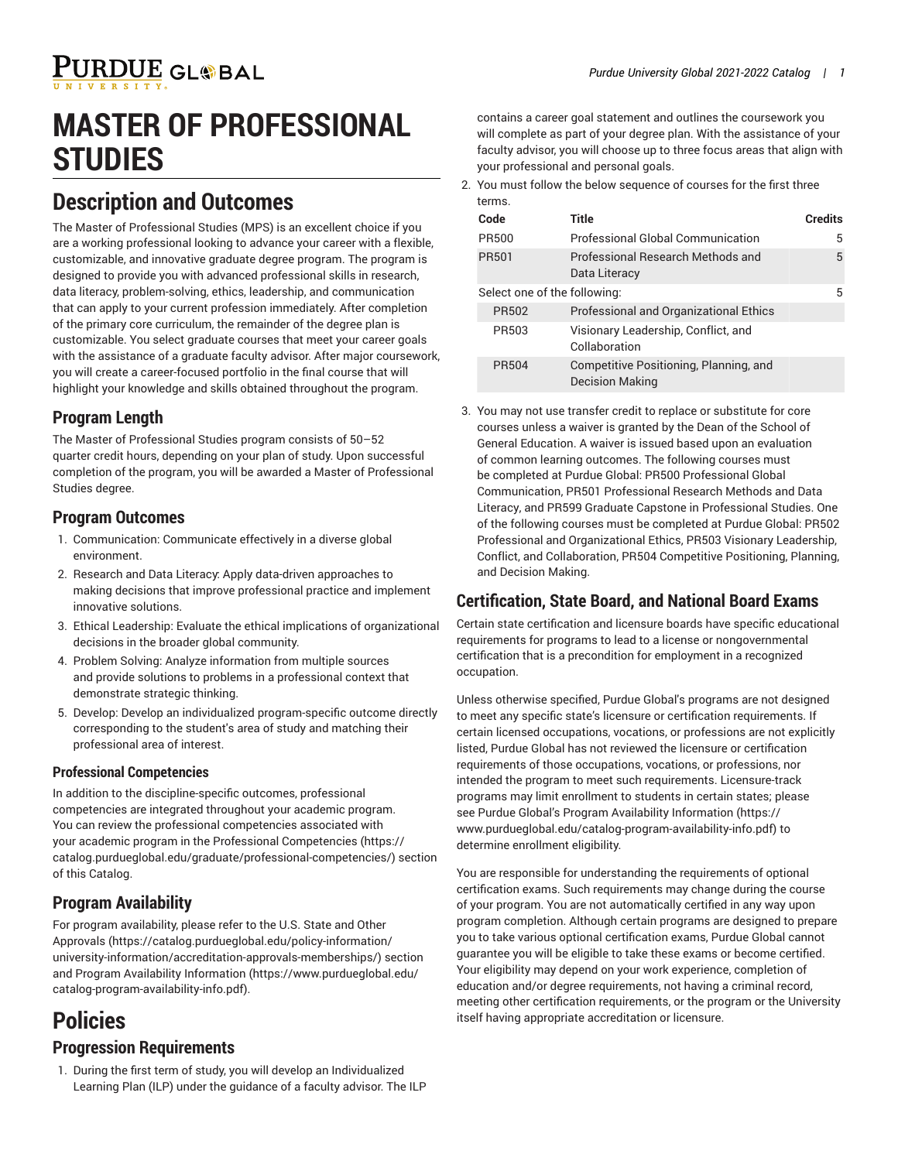# **MASTER OF PROFESSIONAL STUDIES**

### **Description and Outcomes**

The Master of Professional Studies (MPS) is an excellent choice if you are a working professional looking to advance your career with a flexible, customizable, and innovative graduate degree program. The program is designed to provide you with advanced professional skills in research, data literacy, problem-solving, ethics, leadership, and communication that can apply to your current profession immediately. After completion of the primary core curriculum, the remainder of the degree plan is customizable. You select graduate courses that meet your career goals with the assistance of a graduate faculty advisor. After major coursework, you will create a career-focused portfolio in the final course that will highlight your knowledge and skills obtained throughout the program.

### **Program Length**

The Master of Professional Studies program consists of 50–52 quarter credit hours, depending on your plan of study. Upon successful completion of the program, you will be awarded a Master of Professional Studies degree.

### **Program Outcomes**

- 1. Communication: Communicate effectively in a diverse global environment.
- 2. Research and Data Literacy: Apply data-driven approaches to making decisions that improve professional practice and implement innovative solutions.
- 3. Ethical Leadership: Evaluate the ethical implications of organizational decisions in the broader global community.
- 4. Problem Solving: Analyze information from multiple sources and provide solutions to problems in a professional context that demonstrate strategic thinking.
- 5. Develop: Develop an individualized program-specific outcome directly corresponding to the student's area of study and matching their professional area of interest.

#### **Professional Competencies**

In addition to the discipline-specific outcomes, professional competencies are integrated throughout your academic program. You can review the professional competencies associated with your academic program in the Professional [Competencies \(https://](https://catalog.purdueglobal.edu/graduate/professional-competencies/) [catalog.purdueglobal.edu/graduate/professional-competencies/](https://catalog.purdueglobal.edu/graduate/professional-competencies/)) section of this Catalog.

### **Program Availability**

For program availability, please refer to the [U.S. State and Other](https://catalog.purdueglobal.edu/policy-information/university-information/accreditation-approvals-memberships/) [Approvals](https://catalog.purdueglobal.edu/policy-information/university-information/accreditation-approvals-memberships/) ([https://catalog.purdueglobal.edu/policy-information/](https://catalog.purdueglobal.edu/policy-information/university-information/accreditation-approvals-memberships/) [university-information/accreditation-approvals-memberships/\)](https://catalog.purdueglobal.edu/policy-information/university-information/accreditation-approvals-memberships/) section and Program Availability [Information \(https://www.purdueglobal.edu/](https://www.purdueglobal.edu/catalog-program-availability-info.pdf) [catalog-program-availability-info.pdf](https://www.purdueglobal.edu/catalog-program-availability-info.pdf)).

### **Policies**

#### **Progression Requirements**

1. During the first term of study, you will develop an Individualized Learning Plan (ILP) under the guidance of a faculty advisor. The ILP contains a career goal statement and outlines the coursework you will complete as part of your degree plan. With the assistance of your faculty advisor, you will choose up to three focus areas that align with your professional and personal goals.

2. You must follow the below sequence of courses for the first three terms.

| Code                         | Title                                                            | <b>Credits</b> |
|------------------------------|------------------------------------------------------------------|----------------|
| <b>PR500</b>                 | <b>Professional Global Communication</b>                         | 5              |
| PR501                        | Professional Research Methods and<br>Data Literacy               | 5              |
| Select one of the following: |                                                                  | 5              |
| PR502                        | Professional and Organizational Ethics                           |                |
| PR503                        | Visionary Leadership, Conflict, and<br>Collaboration             |                |
| <b>PR504</b>                 | Competitive Positioning, Planning, and<br><b>Decision Making</b> |                |

3. You may not use transfer credit to replace or substitute for core courses unless a waiver is granted by the Dean of the School of General Education. A waiver is issued based upon an evaluation of common learning outcomes. The following courses must be completed at Purdue Global: PR500 Professional Global Communication, PR501 Professional Research Methods and Data Literacy, and PR599 Graduate Capstone in Professional Studies. One of the following courses must be completed at Purdue Global: PR502 Professional and Organizational Ethics, PR503 Visionary Leadership, Conflict, and Collaboration, PR504 Competitive Positioning, Planning, and Decision Making.

#### **Certification, State Board, and National Board Exams**

Certain state certification and licensure boards have specific educational requirements for programs to lead to a license or nongovernmental certification that is a precondition for employment in a recognized occupation.

Unless otherwise specified, Purdue Global's programs are not designed to meet any specific state's licensure or certification requirements. If certain licensed occupations, vocations, or professions are not explicitly listed, Purdue Global has not reviewed the licensure or certification requirements of those occupations, vocations, or professions, nor intended the program to meet such requirements. Licensure-track programs may limit enrollment to students in certain states; please see Purdue Global's Program Availability [Information](https://www.purdueglobal.edu/catalog-program-availability-info.pdf) ([https://](https://www.purdueglobal.edu/catalog-program-availability-info.pdf) [www.purdueglobal.edu/catalog-program-availability-info.pdf](https://www.purdueglobal.edu/catalog-program-availability-info.pdf)) to determine enrollment eligibility.

You are responsible for understanding the requirements of optional certification exams. Such requirements may change during the course of your program. You are not automatically certified in any way upon program completion. Although certain programs are designed to prepare you to take various optional certification exams, Purdue Global cannot guarantee you will be eligible to take these exams or become certified. Your eligibility may depend on your work experience, completion of education and/or degree requirements, not having a criminal record, meeting other certification requirements, or the program or the University itself having appropriate accreditation or licensure.